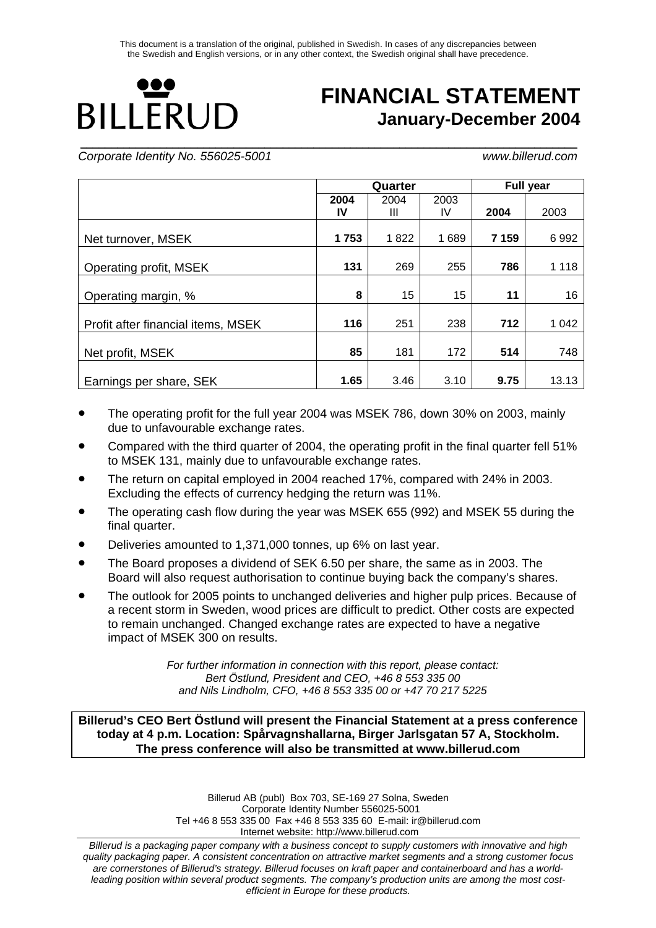# Ю **BILLERUD**

## **FINANCIAL STATEMENT January-December 2004**

*Corporate Identity No. 556025-5001 www.billerud.com* 

**\_\_\_\_\_\_\_\_\_\_\_\_\_\_\_\_\_\_\_\_\_\_\_\_\_\_\_\_\_\_\_\_\_\_\_\_\_\_\_\_\_\_\_\_\_\_\_\_\_\_\_\_\_\_\_\_\_\_\_\_\_\_\_\_\_\_\_\_\_\_\_\_\_\_\_\_\_\_\_\_\_**

|                                    |            | Quarter   |            | <b>Full year</b> |         |  |
|------------------------------------|------------|-----------|------------|------------------|---------|--|
|                                    | 2004<br>IV | 2004<br>Ш | 2003<br>IV | 2004             | 2003    |  |
|                                    |            |           |            |                  |         |  |
| Net turnover, MSEK                 | 1753       | 1822      | 1689       | 7 1 5 9          | 6992    |  |
| Operating profit, MSEK             | 131        | 269       | 255        | 786              | 1 1 1 8 |  |
| Operating margin, %                | 8          | 15        | 15         | 11               | 16      |  |
| Profit after financial items, MSEK | 116        | 251       | 238        | 712              | 1 0 4 2 |  |
| Net profit, MSEK                   | 85         | 181       | 172        | 514              | 748     |  |
| Earnings per share, SEK            | 1.65       | 3.46      | 3.10       | 9.75             | 13.13   |  |

- The operating profit for the full year 2004 was MSEK 786, down 30% on 2003, mainly due to unfavourable exchange rates.
- Compared with the third quarter of 2004, the operating profit in the final quarter fell 51% to MSEK 131, mainly due to unfavourable exchange rates.
- The return on capital employed in 2004 reached 17%, compared with 24% in 2003. Excluding the effects of currency hedging the return was 11%.
- The operating cash flow during the year was MSEK 655 (992) and MSEK 55 during the final quarter.
- Deliveries amounted to 1,371,000 tonnes, up 6% on last year.
- The Board proposes a dividend of SEK 6.50 per share, the same as in 2003. The Board will also request authorisation to continue buying back the company's shares.
- The outlook for 2005 points to unchanged deliveries and higher pulp prices. Because of a recent storm in Sweden, wood prices are difficult to predict. Other costs are expected to remain unchanged. Changed exchange rates are expected to have a negative impact of MSEK 300 on results.

*For further information in connection with this report, please contact: Bert Östlund, President and CEO, +46 8 553 335 00 and Nils Lindholm, CFO, +46 8 553 335 00 or +47 70 217 5225* 

**Billerud's CEO Bert Östlund will present the Financial Statement at a press conference today at 4 p.m. Location: Spårvagnshallarna, Birger Jarlsgatan 57 A, Stockholm. The press conference will also be transmitted at www.billerud.com** 

> Billerud AB (publ) Box 703, SE-169 27 Solna, Sweden Corporate Identity Number 556025-5001 Tel +46 8 553 335 00 Fax +46 8 553 335 60 E-mail: ir@billerud.com Internet website: http://www.billerud.com

*Billerud is a packaging paper company with a business concept to supply customers with innovative and high quality packaging paper. A consistent concentration on attractive market segments and a strong customer focus are cornerstones of Billerud's strategy. Billerud focuses on kraft paper and containerboard and has a worldleading position within several product segments. The company's production units are among the most costefficient in Europe for these products.*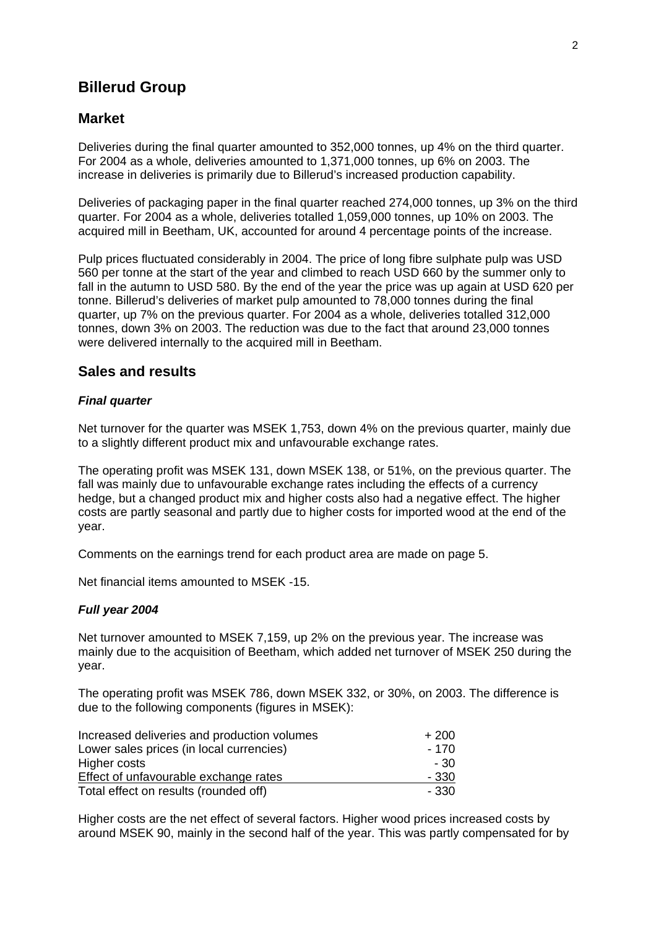### **Billerud Group**

#### **Market**

Deliveries during the final quarter amounted to 352,000 tonnes, up 4% on the third quarter. For 2004 as a whole, deliveries amounted to 1,371,000 tonnes, up 6% on 2003. The increase in deliveries is primarily due to Billerud's increased production capability.

Deliveries of packaging paper in the final quarter reached 274,000 tonnes, up 3% on the third quarter. For 2004 as a whole, deliveries totalled 1,059,000 tonnes, up 10% on 2003. The acquired mill in Beetham, UK, accounted for around 4 percentage points of the increase.

Pulp prices fluctuated considerably in 2004. The price of long fibre sulphate pulp was USD 560 per tonne at the start of the year and climbed to reach USD 660 by the summer only to fall in the autumn to USD 580. By the end of the year the price was up again at USD 620 per tonne. Billerud's deliveries of market pulp amounted to 78,000 tonnes during the final quarter, up 7% on the previous quarter. For 2004 as a whole, deliveries totalled 312,000 tonnes, down 3% on 2003. The reduction was due to the fact that around 23,000 tonnes were delivered internally to the acquired mill in Beetham.

### **Sales and results**

#### *Final quarter*

Net turnover for the quarter was MSEK 1,753, down 4% on the previous quarter, mainly due to a slightly different product mix and unfavourable exchange rates.

The operating profit was MSEK 131, down MSEK 138, or 51%, on the previous quarter. The fall was mainly due to unfavourable exchange rates including the effects of a currency hedge, but a changed product mix and higher costs also had a negative effect. The higher costs are partly seasonal and partly due to higher costs for imported wood at the end of the year.

Comments on the earnings trend for each product area are made on page 5.

Net financial items amounted to MSEK -15.

#### *Full year 2004*

Net turnover amounted to MSEK 7,159, up 2% on the previous year. The increase was mainly due to the acquisition of Beetham, which added net turnover of MSEK 250 during the year.

The operating profit was MSEK 786, down MSEK 332, or 30%, on 2003. The difference is due to the following components (figures in MSEK):

| Increased deliveries and production volumes | $+200$ |
|---------------------------------------------|--------|
| Lower sales prices (in local currencies)    | - 170  |
| Higher costs                                | - 30   |
| Effect of unfavourable exchange rates       | - 330  |
| Total effect on results (rounded off)       | - 330  |

Higher costs are the net effect of several factors. Higher wood prices increased costs by around MSEK 90, mainly in the second half of the year. This was partly compensated for by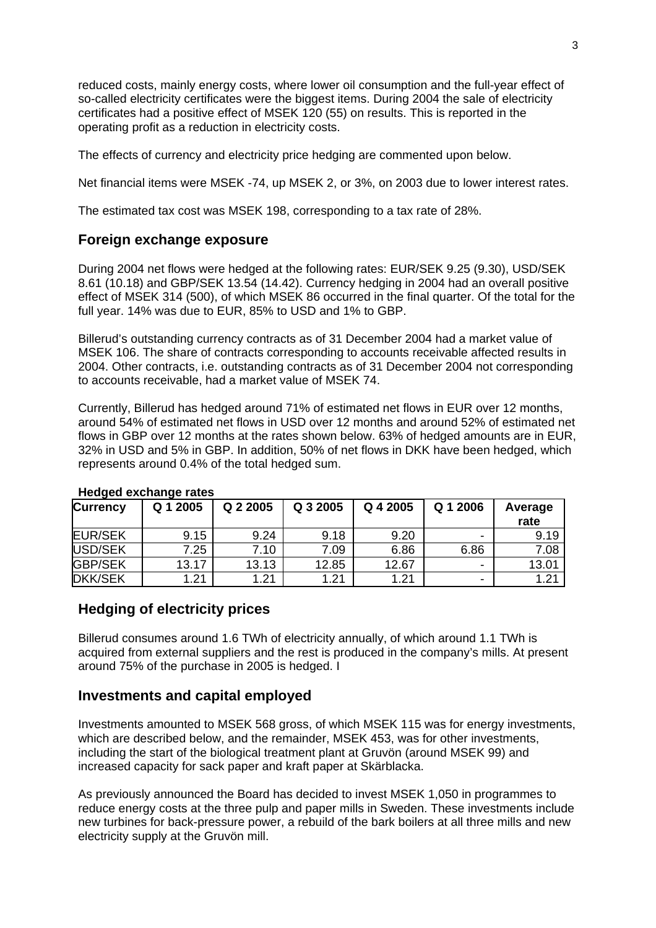reduced costs, mainly energy costs, where lower oil consumption and the full-year effect of so-called electricity certificates were the biggest items. During 2004 the sale of electricity certificates had a positive effect of MSEK 120 (55) on results. This is reported in the operating profit as a reduction in electricity costs.

The effects of currency and electricity price hedging are commented upon below.

Net financial items were MSEK -74, up MSEK 2, or 3%, on 2003 due to lower interest rates.

The estimated tax cost was MSEK 198, corresponding to a tax rate of 28%.

### **Foreign exchange exposure**

During 2004 net flows were hedged at the following rates: EUR/SEK 9.25 (9.30), USD/SEK 8.61 (10.18) and GBP/SEK 13.54 (14.42). Currency hedging in 2004 had an overall positive effect of MSEK 314 (500), of which MSEK 86 occurred in the final quarter. Of the total for the full year. 14% was due to EUR, 85% to USD and 1% to GBP.

Billerud's outstanding currency contracts as of 31 December 2004 had a market value of MSEK 106. The share of contracts corresponding to accounts receivable affected results in 2004. Other contracts, i.e. outstanding contracts as of 31 December 2004 not corresponding to accounts receivable, had a market value of MSEK 74.

Currently, Billerud has hedged around 71% of estimated net flows in EUR over 12 months, around 54% of estimated net flows in USD over 12 months and around 52% of estimated net flows in GBP over 12 months at the rates shown below. 63% of hedged amounts are in EUR, 32% in USD and 5% in GBP. In addition, 50% of net flows in DKK have been hedged, which represents around 0.4% of the total hedged sum.

| <b>Currency</b> | Q 1 2005 | Q 2 2005 | Q 3 2005 | Q 4 2005 | Q 1 2006                 | Average<br>rate |
|-----------------|----------|----------|----------|----------|--------------------------|-----------------|
| <b>EUR/SEK</b>  | 9.15     | 9.24     | 9.18     | 9.20     | $\overline{\phantom{0}}$ | 9.19            |
| USD/SEK         | 7.25     | 7.10     | 7.09     | 6.86     | 6.86                     | 7.08            |
| <b>GBP/SEK</b>  | 13.17    | 13.13    | 12.85    | 12.67    | $\overline{\phantom{0}}$ | 13.01           |
| <b>DKK/SEK</b>  | 1.21     | 1.21     | 1.21     | 1.21     | $\overline{\phantom{0}}$ | 1.21            |

#### **Hedged exchange rates**

### **Hedging of electricity prices**

Billerud consumes around 1.6 TWh of electricity annually, of which around 1.1 TWh is acquired from external suppliers and the rest is produced in the company's mills. At present around 75% of the purchase in 2005 is hedged. I

### **Investments and capital employed**

Investments amounted to MSEK 568 gross, of which MSEK 115 was for energy investments, which are described below, and the remainder, MSEK 453, was for other investments, including the start of the biological treatment plant at Gruvön (around MSEK 99) and increased capacity for sack paper and kraft paper at Skärblacka.

As previously announced the Board has decided to invest MSEK 1,050 in programmes to reduce energy costs at the three pulp and paper mills in Sweden. These investments include new turbines for back-pressure power, a rebuild of the bark boilers at all three mills and new electricity supply at the Gruvön mill.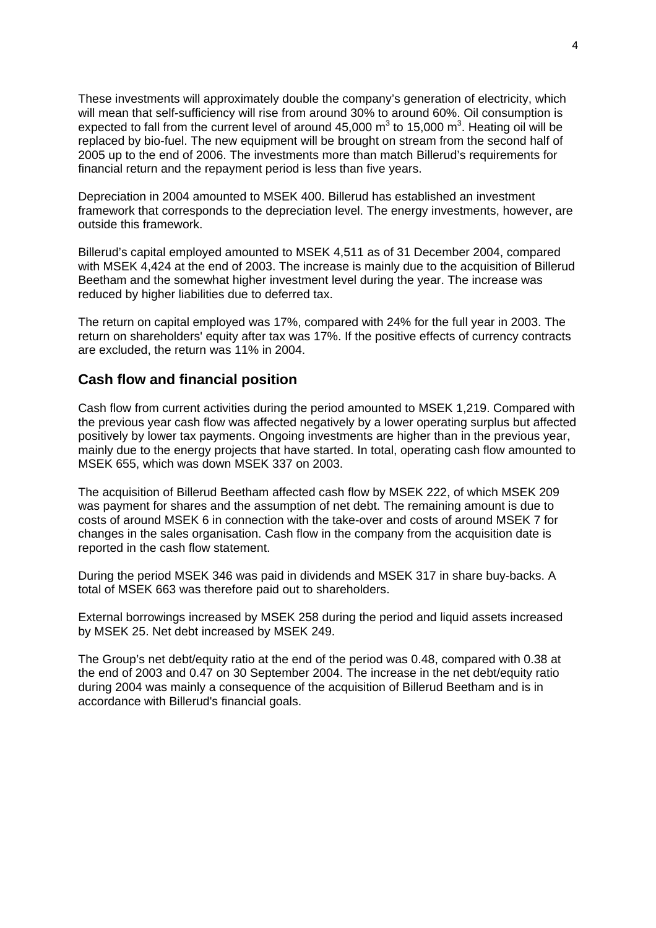These investments will approximately double the company's generation of electricity, which will mean that self-sufficiency will rise from around 30% to around 60%. Oil consumption is expected to fall from the current level of around 45,000 m<sup>3</sup> to 15,000 m<sup>3</sup>. Heating oil will be replaced by bio-fuel. The new equipment will be brought on stream from the second half of 2005 up to the end of 2006. The investments more than match Billerud's requirements for financial return and the repayment period is less than five years.

Depreciation in 2004 amounted to MSEK 400. Billerud has established an investment framework that corresponds to the depreciation level. The energy investments, however, are outside this framework.

Billerud's capital employed amounted to MSEK 4,511 as of 31 December 2004, compared with MSEK 4,424 at the end of 2003. The increase is mainly due to the acquisition of Billerud Beetham and the somewhat higher investment level during the year. The increase was reduced by higher liabilities due to deferred tax.

The return on capital employed was 17%, compared with 24% for the full year in 2003. The return on shareholders' equity after tax was 17%. If the positive effects of currency contracts are excluded, the return was 11% in 2004.

### **Cash flow and financial position**

Cash flow from current activities during the period amounted to MSEK 1,219. Compared with the previous year cash flow was affected negatively by a lower operating surplus but affected positively by lower tax payments. Ongoing investments are higher than in the previous year, mainly due to the energy projects that have started. In total, operating cash flow amounted to MSEK 655, which was down MSEK 337 on 2003.

The acquisition of Billerud Beetham affected cash flow by MSEK 222, of which MSEK 209 was payment for shares and the assumption of net debt. The remaining amount is due to costs of around MSEK 6 in connection with the take-over and costs of around MSEK 7 for changes in the sales organisation. Cash flow in the company from the acquisition date is reported in the cash flow statement.

During the period MSEK 346 was paid in dividends and MSEK 317 in share buy-backs. A total of MSEK 663 was therefore paid out to shareholders.

External borrowings increased by MSEK 258 during the period and liquid assets increased by MSEK 25. Net debt increased by MSEK 249.

The Group's net debt/equity ratio at the end of the period was 0.48, compared with 0.38 at the end of 2003 and 0.47 on 30 September 2004. The increase in the net debt/equity ratio during 2004 was mainly a consequence of the acquisition of Billerud Beetham and is in accordance with Billerud's financial goals.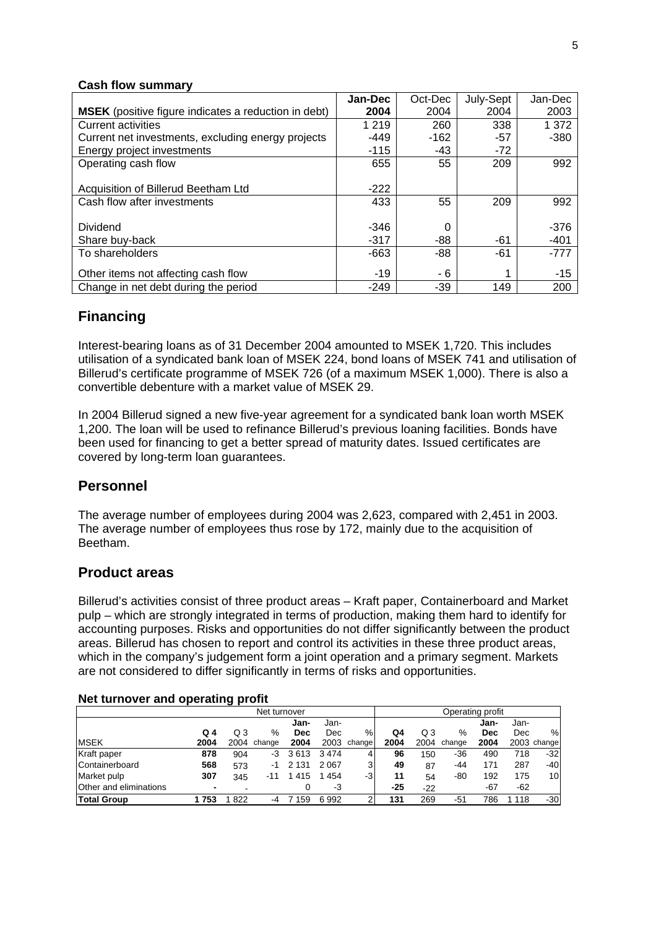#### **Cash flow summary**

|                                                             | Jan-Dec | Oct-Dec | July-Sept | Jan-Dec |
|-------------------------------------------------------------|---------|---------|-----------|---------|
| <b>MSEK</b> (positive figure indicates a reduction in debt) | 2004    | 2004    | 2004      | 2003    |
| <b>Current activities</b>                                   | 1 2 1 9 | 260     | 338       | 1 3 7 2 |
| Current net investments, excluding energy projects          | $-449$  | $-162$  | $-57$     | $-380$  |
| Energy project investments                                  | $-115$  | -43     | $-72$     |         |
| Operating cash flow                                         | 655     | 55      | 209       | 992     |
|                                                             |         |         |           |         |
| Acquisition of Billerud Beetham Ltd                         | $-222$  |         |           |         |
| Cash flow after investments                                 | 433     | 55      | 209       | 992     |
|                                                             |         |         |           |         |
| Dividend                                                    | $-346$  | 0       |           | $-376$  |
| Share buy-back                                              | $-317$  | -88     | -61       | $-401$  |
| To shareholders                                             | $-663$  | $-88$   | $-61$     | $-777$  |
|                                                             |         |         |           |         |
| Other items not affecting cash flow                         | $-19$   | - 6     |           | $-15$   |
| Change in net debt during the period                        | $-249$  | $-39$   | 149       | 200     |

### **Financing**

Interest-bearing loans as of 31 December 2004 amounted to MSEK 1,720. This includes utilisation of a syndicated bank loan of MSEK 224, bond loans of MSEK 741 and utilisation of Billerud's certificate programme of MSEK 726 (of a maximum MSEK 1,000). There is also a convertible debenture with a market value of MSEK 29.

In 2004 Billerud signed a new five-year agreement for a syndicated bank loan worth MSEK 1,200. The loan will be used to refinance Billerud's previous loaning facilities. Bonds have been used for financing to get a better spread of maturity dates. Issued certificates are covered by long-term loan guarantees.

### **Personnel**

The average number of employees during 2004 was 2,623, compared with 2,451 in 2003. The average number of employees thus rose by 172, mainly due to the acquisition of Beetham.

### **Product areas**

Billerud's activities consist of three product areas – Kraft paper, Containerboard and Market pulp – which are strongly integrated in terms of production, making them hard to identify for accounting purposes. Risks and opportunities do not differ significantly between the product areas. Billerud has chosen to report and control its activities in these three product areas, which in the company's judgement form a joint operation and a primary segment. Markets are not considered to differ significantly in terms of risks and opportunities.

#### **Net turnover and operating profit**

|                        |                          | Net turnover |        |            |      |        | Operating profit |       |        |      |      |                 |
|------------------------|--------------------------|--------------|--------|------------|------|--------|------------------|-------|--------|------|------|-----------------|
|                        |                          |              |        | Jan-       | Jan- |        |                  |       |        | Jan- | Jan- |                 |
|                        | Q 4                      | Q 3          | %      | <b>Dec</b> | Dec  | %      | Q4               | Q3    | %      | Dec  | Dec  | %               |
| <b>MSEK</b>            | 2004                     | 2004         | change | 2004       | 2003 | change | 2004             | 2004  | change | 2004 |      | 2003 change     |
| Kraft paper            | 878                      | 904          | -3     | 3613       | 3474 |        | 96               | 150   | -36    | 490  | 718  | $-32$           |
| Containerboard         | 568                      | 573          | -1     | 2 1 3 1    | 2067 | 3      | 49               | 87    | -44    | 171  | 287  | -40             |
| Market pulp            | 307                      | 345          | -11    | 1 4 1 5    | 1454 | -3     | 11               | 54    | -80    | 192  | 175  | 10 <sub>1</sub> |
| Other and eliminations | $\overline{\phantom{0}}$ |              |        |            | -3   |        | $-25$            | $-22$ |        | -67  | -62  |                 |
| <b>Total Group</b>     | 753                      | 822          | -4     | 159        | 6992 |        | 131              | 269   | -51    | 786  | 118  | $-30$           |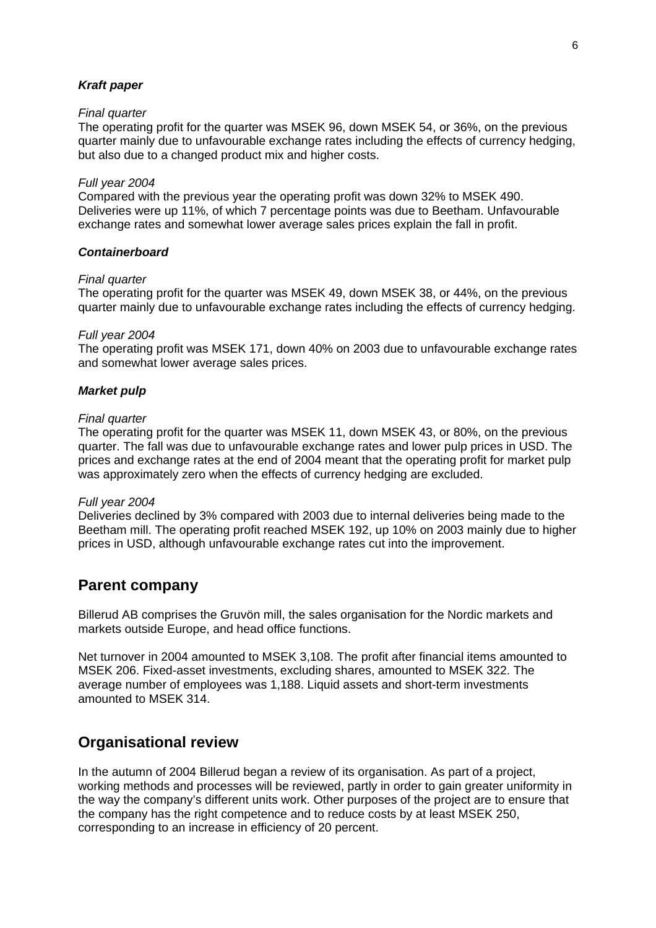#### *Kraft paper*

#### *Final quarter*

The operating profit for the quarter was MSEK 96, down MSEK 54, or 36%, on the previous quarter mainly due to unfavourable exchange rates including the effects of currency hedging, but also due to a changed product mix and higher costs.

#### *Full year 2004*

Compared with the previous year the operating profit was down 32% to MSEK 490. Deliveries were up 11%, of which 7 percentage points was due to Beetham. Unfavourable exchange rates and somewhat lower average sales prices explain the fall in profit.

#### *Containerboard*

#### *Final quarter*

The operating profit for the quarter was MSEK 49, down MSEK 38, or 44%, on the previous quarter mainly due to unfavourable exchange rates including the effects of currency hedging.

#### *Full year 2004*

The operating profit was MSEK 171, down 40% on 2003 due to unfavourable exchange rates and somewhat lower average sales prices.

#### *Market pulp*

#### *Final quarter*

The operating profit for the quarter was MSEK 11, down MSEK 43, or 80%, on the previous quarter. The fall was due to unfavourable exchange rates and lower pulp prices in USD. The prices and exchange rates at the end of 2004 meant that the operating profit for market pulp was approximately zero when the effects of currency hedging are excluded.

#### *Full year 2004*

Deliveries declined by 3% compared with 2003 due to internal deliveries being made to the Beetham mill. The operating profit reached MSEK 192, up 10% on 2003 mainly due to higher prices in USD, although unfavourable exchange rates cut into the improvement.

### **Parent company**

Billerud AB comprises the Gruvön mill, the sales organisation for the Nordic markets and markets outside Europe, and head office functions.

Net turnover in 2004 amounted to MSEK 3,108. The profit after financial items amounted to MSEK 206. Fixed-asset investments, excluding shares, amounted to MSEK 322. The average number of employees was 1,188. Liquid assets and short-term investments amounted to MSEK 314.

### **Organisational review**

In the autumn of 2004 Billerud began a review of its organisation. As part of a project, working methods and processes will be reviewed, partly in order to gain greater uniformity in the way the company's different units work. Other purposes of the project are to ensure that the company has the right competence and to reduce costs by at least MSEK 250, corresponding to an increase in efficiency of 20 percent.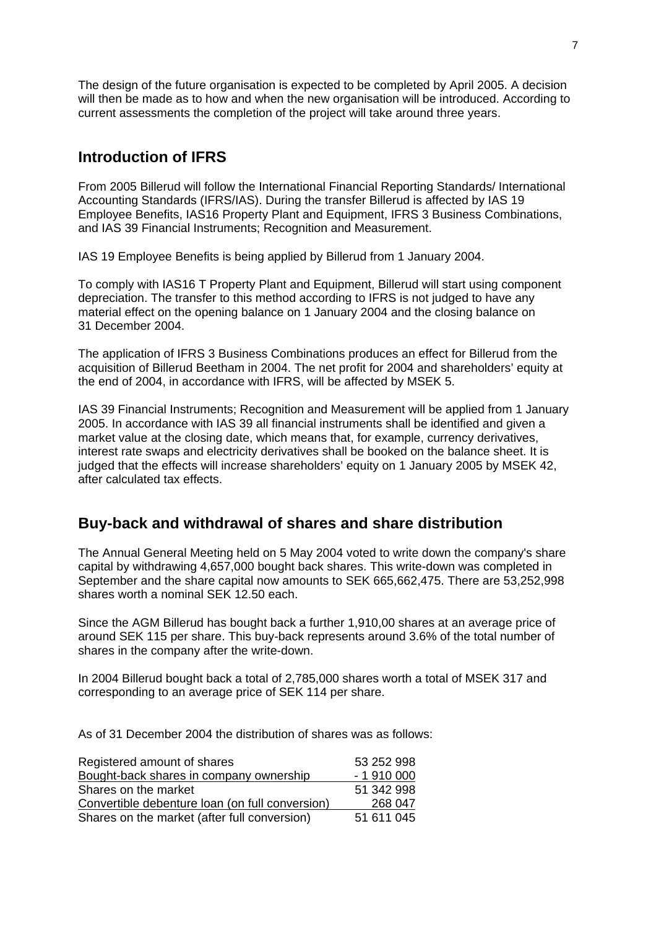The design of the future organisation is expected to be completed by April 2005. A decision will then be made as to how and when the new organisation will be introduced. According to current assessments the completion of the project will take around three years.

### **Introduction of IFRS**

From 2005 Billerud will follow the International Financial Reporting Standards/ International Accounting Standards (IFRS/IAS). During the transfer Billerud is affected by IAS 19 Employee Benefits, IAS16 Property Plant and Equipment, IFRS 3 Business Combinations, and IAS 39 Financial Instruments; Recognition and Measurement.

IAS 19 Employee Benefits is being applied by Billerud from 1 January 2004.

To comply with IAS16 T Property Plant and Equipment, Billerud will start using component depreciation. The transfer to this method according to IFRS is not judged to have any material effect on the opening balance on 1 January 2004 and the closing balance on 31 December 2004.

The application of IFRS 3 Business Combinations produces an effect for Billerud from the acquisition of Billerud Beetham in 2004. The net profit for 2004 and shareholders' equity at the end of 2004, in accordance with IFRS, will be affected by MSEK 5.

IAS 39 Financial Instruments; Recognition and Measurement will be applied from 1 January 2005. In accordance with IAS 39 all financial instruments shall be identified and given a market value at the closing date, which means that, for example, currency derivatives, interest rate swaps and electricity derivatives shall be booked on the balance sheet. It is judged that the effects will increase shareholders' equity on 1 January 2005 by MSEK 42, after calculated tax effects.

### **Buy-back and withdrawal of shares and share distribution**

The Annual General Meeting held on 5 May 2004 voted to write down the company's share capital by withdrawing 4,657,000 bought back shares. This write-down was completed in September and the share capital now amounts to SEK 665,662,475. There are 53,252,998 shares worth a nominal SEK 12.50 each.

Since the AGM Billerud has bought back a further 1,910,00 shares at an average price of around SEK 115 per share. This buy-back represents around 3.6% of the total number of shares in the company after the write-down.

In 2004 Billerud bought back a total of 2,785,000 shares worth a total of MSEK 317 and corresponding to an average price of SEK 114 per share.

As of 31 December 2004 the distribution of shares was as follows:

| Registered amount of shares                     | 53 252 998 |
|-------------------------------------------------|------------|
| Bought-back shares in company ownership         | $-1910000$ |
| Shares on the market                            | 51 342 998 |
| Convertible debenture loan (on full conversion) | 268 047    |
| Shares on the market (after full conversion)    | 51 611 045 |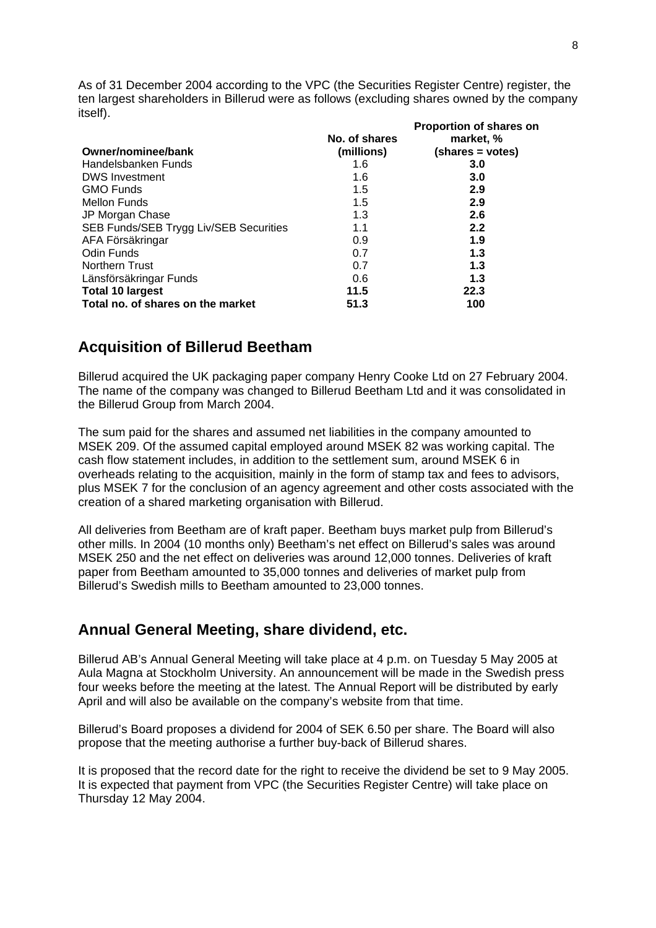As of 31 December 2004 according to the VPC (the Securities Register Centre) register, the ten largest shareholders in Billerud were as follows (excluding shares owned by the company itself).

|                                        | No. of shares | Proportion of shares on<br>market, % |
|----------------------------------------|---------------|--------------------------------------|
| Owner/nominee/bank                     | (millions)    | (shares = votes)                     |
| Handelsbanken Funds                    | 1.6           | 3.0                                  |
| <b>DWS Investment</b>                  | 1.6           | 3.0                                  |
| <b>GMO Funds</b>                       | 1.5           | 2.9                                  |
| <b>Mellon Funds</b>                    | 1.5           | 2.9                                  |
| JP Morgan Chase                        | 1.3           | 2.6                                  |
| SEB Funds/SEB Trygg Liv/SEB Securities | 1.1           | 2.2                                  |
| AFA Försäkringar                       | 0.9           | 1.9                                  |
| Odin Funds                             | 0.7           | 1.3                                  |
| <b>Northern Trust</b>                  | 0.7           | 1.3                                  |
| Länsförsäkringar Funds                 | 0.6           | 1.3                                  |
| <b>Total 10 largest</b>                | 11.5          | 22.3                                 |
| Total no. of shares on the market      | 51.3          | 100                                  |

### **Acquisition of Billerud Beetham**

Billerud acquired the UK packaging paper company Henry Cooke Ltd on 27 February 2004. The name of the company was changed to Billerud Beetham Ltd and it was consolidated in the Billerud Group from March 2004.

The sum paid for the shares and assumed net liabilities in the company amounted to MSEK 209. Of the assumed capital employed around MSEK 82 was working capital. The cash flow statement includes, in addition to the settlement sum, around MSEK 6 in overheads relating to the acquisition, mainly in the form of stamp tax and fees to advisors, plus MSEK 7 for the conclusion of an agency agreement and other costs associated with the creation of a shared marketing organisation with Billerud.

All deliveries from Beetham are of kraft paper. Beetham buys market pulp from Billerud's other mills. In 2004 (10 months only) Beetham's net effect on Billerud's sales was around MSEK 250 and the net effect on deliveries was around 12,000 tonnes. Deliveries of kraft paper from Beetham amounted to 35,000 tonnes and deliveries of market pulp from Billerud's Swedish mills to Beetham amounted to 23,000 tonnes.

### **Annual General Meeting, share dividend, etc.**

Billerud AB's Annual General Meeting will take place at 4 p.m. on Tuesday 5 May 2005 at Aula Magna at Stockholm University. An announcement will be made in the Swedish press four weeks before the meeting at the latest. The Annual Report will be distributed by early April and will also be available on the company's website from that time.

Billerud's Board proposes a dividend for 2004 of SEK 6.50 per share. The Board will also propose that the meeting authorise a further buy-back of Billerud shares.

It is proposed that the record date for the right to receive the dividend be set to 9 May 2005. It is expected that payment from VPC (the Securities Register Centre) will take place on Thursday 12 May 2004.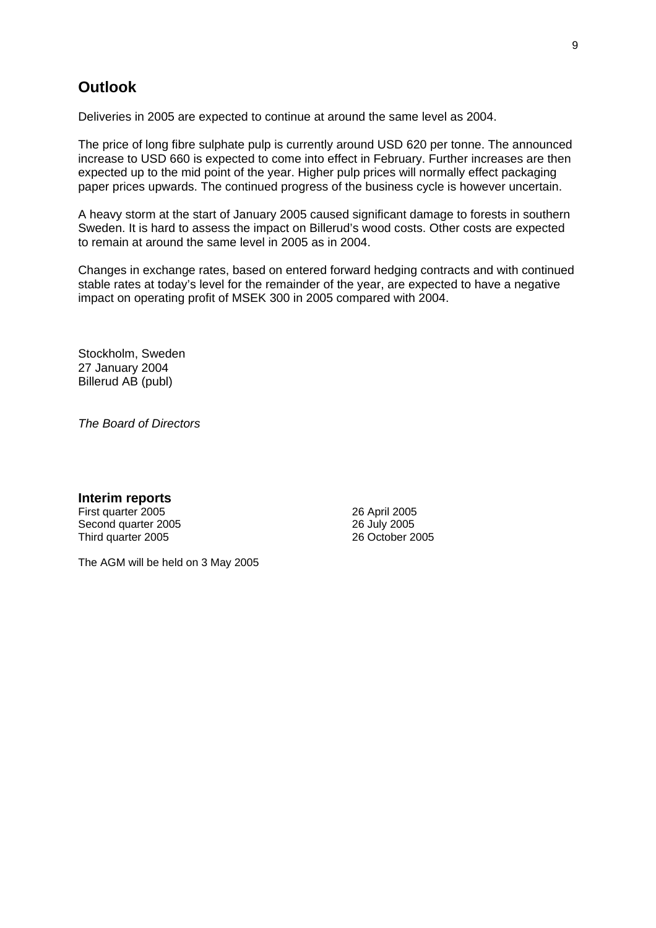### **Outlook**

Deliveries in 2005 are expected to continue at around the same level as 2004.

The price of long fibre sulphate pulp is currently around USD 620 per tonne. The announced increase to USD 660 is expected to come into effect in February. Further increases are then expected up to the mid point of the year. Higher pulp prices will normally effect packaging paper prices upwards. The continued progress of the business cycle is however uncertain.

A heavy storm at the start of January 2005 caused significant damage to forests in southern Sweden. It is hard to assess the impact on Billerud's wood costs. Other costs are expected to remain at around the same level in 2005 as in 2004.

Changes in exchange rates, based on entered forward hedging contracts and with continued stable rates at today's level for the remainder of the year, are expected to have a negative impact on operating profit of MSEK 300 in 2005 compared with 2004.

Stockholm, Sweden 27 January 2004 Billerud AB (publ)

*The Board of Directors* 

**Interim reports**  First quarter 2005 Second quarter 2005 Third quarter 2005

26 April 2005 26 July 2005 26 October 2005

The AGM will be held on 3 May 2005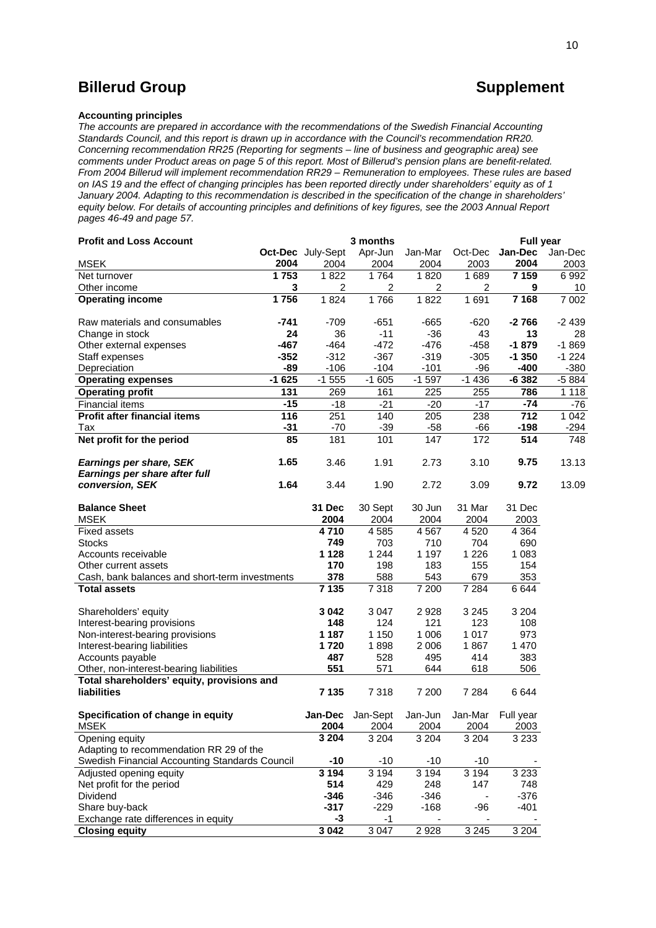### **Billerud Group CONSULSE 2008 Supplement**

#### **Accounting principles**

*The accounts are prepared in accordance with the recommendations of the Swedish Financial Accounting Standards Council, and this report is drawn up in accordance with the Council's recommendation RR20. Concerning recommendation RR25 (Reporting for segments – line of business and geographic area) see comments under Product areas on page 5 of this report. Most of Billerud's pension plans are benefit-related. From 2004 Billerud will implement recommendation RR29 – Remuneration to employees. These rules are based on IAS 19 and the effect of changing principles has been reported directly under shareholders' equity as of 1 January 2004. Adapting to this recommendation is described in the specification of the change in shareholders' equity below. For details of accounting principles and definitions of key figures, see the 2003 Annual Report pages 46-49 and page 57.* 

| <b>Profit and Loss Account</b>                                   |         |                   | 3 months         |                 |                 | <b>Full year</b>  |         |
|------------------------------------------------------------------|---------|-------------------|------------------|-----------------|-----------------|-------------------|---------|
|                                                                  |         | Oct-Dec July-Sept | Apr-Jun          | Jan-Mar         | Oct-Dec         | Jan-Dec           | Jan-Dec |
| <b>MSEK</b>                                                      | 2004    | 2004              | 2004             | 2004            | 2003            | 2004              | 2003    |
| Net turnover                                                     | 1753    | 1822              | 1764             | 1820            | 1689            | 7 1 5 9           | 6992    |
| Other income                                                     | 3       | 2                 | 2                | 2               | 2               | 9                 | 10      |
| <b>Operating income</b>                                          | 1756    | 1824              | 1766             | 1822            | 1691            | 7 1 6 8           | 7 0 0 2 |
| Raw materials and consumables                                    | -741    | $-709$            | $-651$           | $-665$          | $-620$          | $-2766$           | $-2439$ |
| Change in stock                                                  | 24      | 36                | $-11$            | $-36$           | 43              | 13                | 28      |
| Other external expenses                                          | $-467$  | $-464$            | $-472$           | $-476$          | $-458$          | $-1879$           | $-1869$ |
| Staff expenses                                                   | $-352$  | $-312$            | $-367$           | $-319$          | $-305$          | $-1350$           | $-1224$ |
| Depreciation                                                     | $-89$   | $-106$            | $-104$           | $-101$          | $-96$           | $-400$            | $-380$  |
| <b>Operating expenses</b>                                        | $-1625$ | $-1555$           | $-1605$          | $-1597$         | $-1436$         | $-6382$           | $-5884$ |
| <b>Operating profit</b>                                          | 131     | 269               | 161              | 225             | 255             | 786               | 1 1 1 8 |
| Financial items                                                  | $-15$   | $-18$             | $-21$            | $-20$           | $-17$           | $-74$             | $-76$   |
| <b>Profit after financial items</b>                              | 116     | 251               | 140              | 205             | 238             | 712               | 1 0 4 2 |
| Tax                                                              | $-31$   | $-70$             | $-39$            | $-58$           | -66             | $-198$            | $-294$  |
| Net profit for the period                                        | 85      | 181               | 101              | 147             | 172             | 514               | 748     |
| Earnings per share, SEK<br>Earnings per share after full         | 1.65    | 3.46              | 1.91             | 2.73            | 3.10            | 9.75              | 13.13   |
| conversion, SEK                                                  | 1.64    | 3.44              | 1.90             | 2.72            | 3.09            | 9.72              | 13.09   |
| <b>Balance Sheet</b>                                             |         | 31 Dec            | 30 Sept          | 30 Jun          | 31 Mar          | 31 Dec            |         |
| <b>MSEK</b>                                                      |         | 2004              | 2004             | 2004            | 2004            | 2003              |         |
| <b>Fixed assets</b>                                              |         | 4710              | 4585             | 4567            | 4 5 20          | 4 3 6 4           |         |
| <b>Stocks</b>                                                    |         | 749               | 703              | 710             | 704             | 690               |         |
| Accounts receivable                                              |         | 1 1 2 8           | 1 2 4 4          | 1 1 9 7         | 1 2 2 6         | 1 0 8 3           |         |
| Other current assets                                             |         | 170               | 198              | 183             | 155             | 154               |         |
| Cash, bank balances and short-term investments                   |         | 378               | 588              | 543             | 679             | 353               |         |
| <b>Total assets</b>                                              |         | 7 1 3 5           | 7 3 1 8          | 7 200           | 7 2 8 4         | 6644              |         |
| Shareholders' equity                                             |         | 3 0 4 2           | 3 0 4 7          | 2928            | 3 2 4 5         | 3 2 0 4           |         |
| Interest-bearing provisions                                      |         | 148               | 124              | 121             | 123             | 108               |         |
| Non-interest-bearing provisions                                  |         | 1 187             | 1 1 5 0          | 1 0 0 6         | 1017            | 973               |         |
| Interest-bearing liabilities                                     |         | 1720              | 1898             | 2 0 0 6         | 1867            | 1 4 7 0           |         |
| Accounts payable                                                 |         | 487               | 528              | 495             | 414             | 383               |         |
| Other, non-interest-bearing liabilities                          |         | 551               | 571              | 644             | 618             | 506               |         |
| Total shareholders' equity, provisions and<br><b>liabilities</b> |         | 7 1 3 5           | 7318             | 7 200           | 7 2 8 4         | 6644              |         |
| Specification of change in equity<br><b>MSEK</b>                 |         | Jan-Dec<br>2004   | Jan-Sept<br>2004 | Jan-Jun<br>2004 | Jan-Mar<br>2004 | Full year<br>2003 |         |
| Opening equity                                                   |         | 3 2 0 4           | 3 2 0 4          | 3 2 0 4         | 3 2 0 4         | 3233              |         |
| Adapting to recommendation RR 29 of the                          |         |                   |                  |                 |                 |                   |         |
| Swedish Financial Accounting Standards Council                   |         | $-10$             | $-10$            | $-10$           | $-10$           |                   |         |
| Adjusted opening equity                                          |         | 3 1 9 4           | 3 1 9 4          | 3 1 9 4         | 3 1 9 4         | 3 2 3 3           |         |
| Net profit for the period                                        |         | 514               | 429              | 248             | 147             | 748               |         |
| Dividend                                                         |         | $-346$            | $-346$           | $-346$          |                 | $-376$            |         |
| Share buy-back                                                   |         | $-317$            | $-229$           | $-168$          | -96             | $-401$            |         |
| Exchange rate differences in equity                              |         | -3                | $-1$             |                 |                 |                   |         |
| <b>Closing equity</b>                                            |         | 3 0 4 2           | 3 0 4 7          | 2928            | 3 2 4 5         | 3 2 0 4           |         |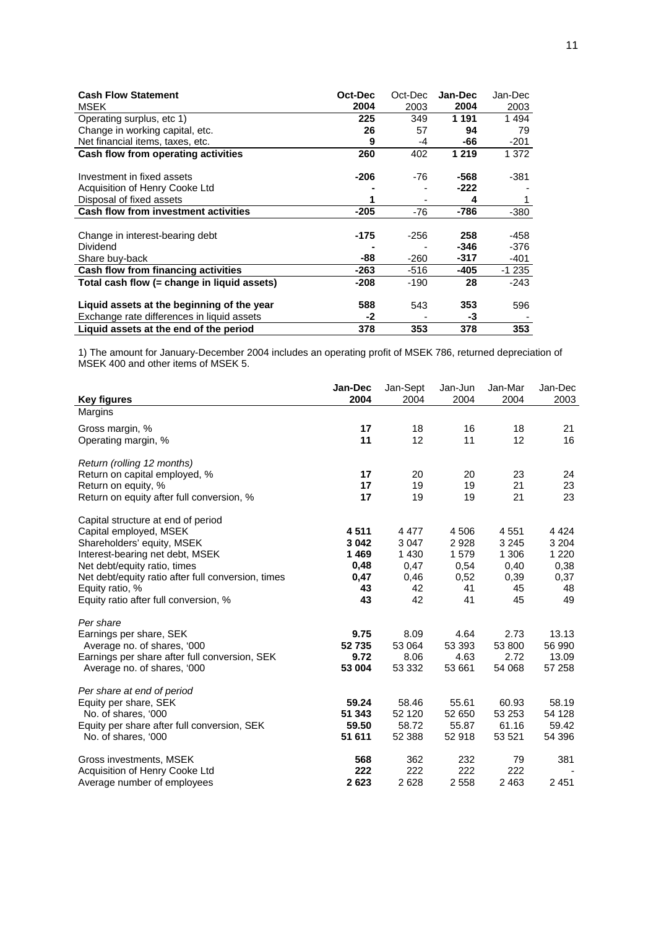| <b>Cash Flow Statement</b>                  | Oct-Dec | Oct-Dec | Jan-Dec | Jan-Dec |
|---------------------------------------------|---------|---------|---------|---------|
| MSEK                                        | 2004    | 2003    | 2004    | 2003    |
| Operating surplus, etc 1)                   | 225     | 349     | 1 191   | 1494    |
| Change in working capital, etc.             | 26      | 57      | 94      | 79      |
| Net financial items, taxes, etc.            | 9       | -4      | -66     | -201    |
| Cash flow from operating activities         | 260     | 402     | 1 2 1 9 | 1 372   |
| Investment in fixed assets                  | -206    | -76     | -568    | -381    |
| Acquisition of Henry Cooke Ltd              |         |         | -222    |         |
| Disposal of fixed assets                    | 1       |         | 4       |         |
| <b>Cash flow from investment activities</b> | -205    | -76     | -786    | -380    |
|                                             |         |         |         |         |
| Change in interest-bearing debt             | -175    | -256    | 258     | -458    |
| Dividend                                    |         |         | -346    | -376    |
| Share buy-back                              | -88     | -260    | -317    | -401    |
| Cash flow from financing activities         | $-263$  | -516    | -405    | $-1235$ |
| Total cash flow (= change in liguid assets) | -208    | -190    | 28      | $-243$  |
| Liquid assets at the beginning of the year  | 588     | 543     | 353     | 596     |
| Exchange rate differences in liquid assets  | -2      |         | -3      |         |
| Liquid assets at the end of the period      | 378     | 353     | 378     | 353     |

1) The amount for January-December 2004 includes an operating profit of MSEK 786, returned depreciation of MSEK 400 and other items of MSEK 5.

| <b>Key figures</b>                                 | Jan-Dec<br>2004 | Jan-Sept<br>2004 | Jan-Jun<br>2004 | Jan-Mar<br>2004 | Jan-Dec<br>2003 |
|----------------------------------------------------|-----------------|------------------|-----------------|-----------------|-----------------|
| Margins                                            |                 |                  |                 |                 |                 |
| Gross margin, %                                    | 17              | 18               | 16              | 18              | 21              |
| Operating margin, %                                | 11              | 12               | 11              | 12              | 16              |
| Return (rolling 12 months)                         |                 |                  |                 |                 |                 |
| Return on capital employed, %                      | 17              | 20               | 20              | 23              | 24              |
| Return on equity, %                                | 17              | 19               | 19              | 21              | 23              |
| Return on equity after full conversion, %          | 17              | 19               | 19              | 21              | 23              |
| Capital structure at end of period                 |                 |                  |                 |                 |                 |
| Capital employed, MSEK                             | 4511            | 4 4 7 7          | 4 5 0 6         | 4551            | 4 4 2 4         |
| Shareholders' equity, MSEK                         | 3 0 4 2         | 3 0 4 7          | 2928            | 3 2 4 5         | 3 2 0 4         |
| Interest-bearing net debt, MSEK                    | 1469            | 1 4 3 0          | 1579            | 1 306           | 1 2 2 0         |
| Net debt/equity ratio, times                       | 0,48            | 0,47             | 0,54            | 0,40            | 0,38            |
| Net debt/equity ratio after full conversion, times | 0,47            | 0,46             | 0,52            | 0,39            | 0,37            |
| Equity ratio, %                                    | 43              | 42               | 41              | 45              | 48              |
| Equity ratio after full conversion, %              | 43              | 42               | 41              | 45              | 49              |
| Per share                                          |                 |                  |                 |                 |                 |
| Earnings per share, SEK                            | 9.75            | 8.09             | 4.64            | 2.73            | 13.13           |
| Average no. of shares, '000                        | 52735           | 53 064           | 53 393          | 53 800          | 56 990          |
| Earnings per share after full conversion, SEK      | 9.72            | 8.06             | 4.63            | 2.72            | 13.09           |
| Average no. of shares, '000                        | 53 004          | 53 332           | 53 661          | 54 068          | 57 258          |
| Per share at end of period                         |                 |                  |                 |                 |                 |
| Equity per share, SEK                              | 59.24           | 58.46            | 55.61           | 60.93           | 58.19           |
| No. of shares, '000                                | 51 343          | 52 120           | 52 650          | 53 253          | 54 128          |
| Equity per share after full conversion, SEK        | 59.50           | 58.72            | 55.87           | 61.16           | 59.42           |
| No. of shares, '000                                | 51 611          | 52 388           | 52 918          | 53 5 21         | 54 396          |
| Gross investments, MSEK                            | 568             | 362              | 232             | 79              | 381             |
| Acquisition of Henry Cooke Ltd                     | 222             | 222              | 222             | 222             |                 |
| Average number of employees                        | 2623            | 2628             | 2 5 5 8         | 2 4 6 3         | 2451            |